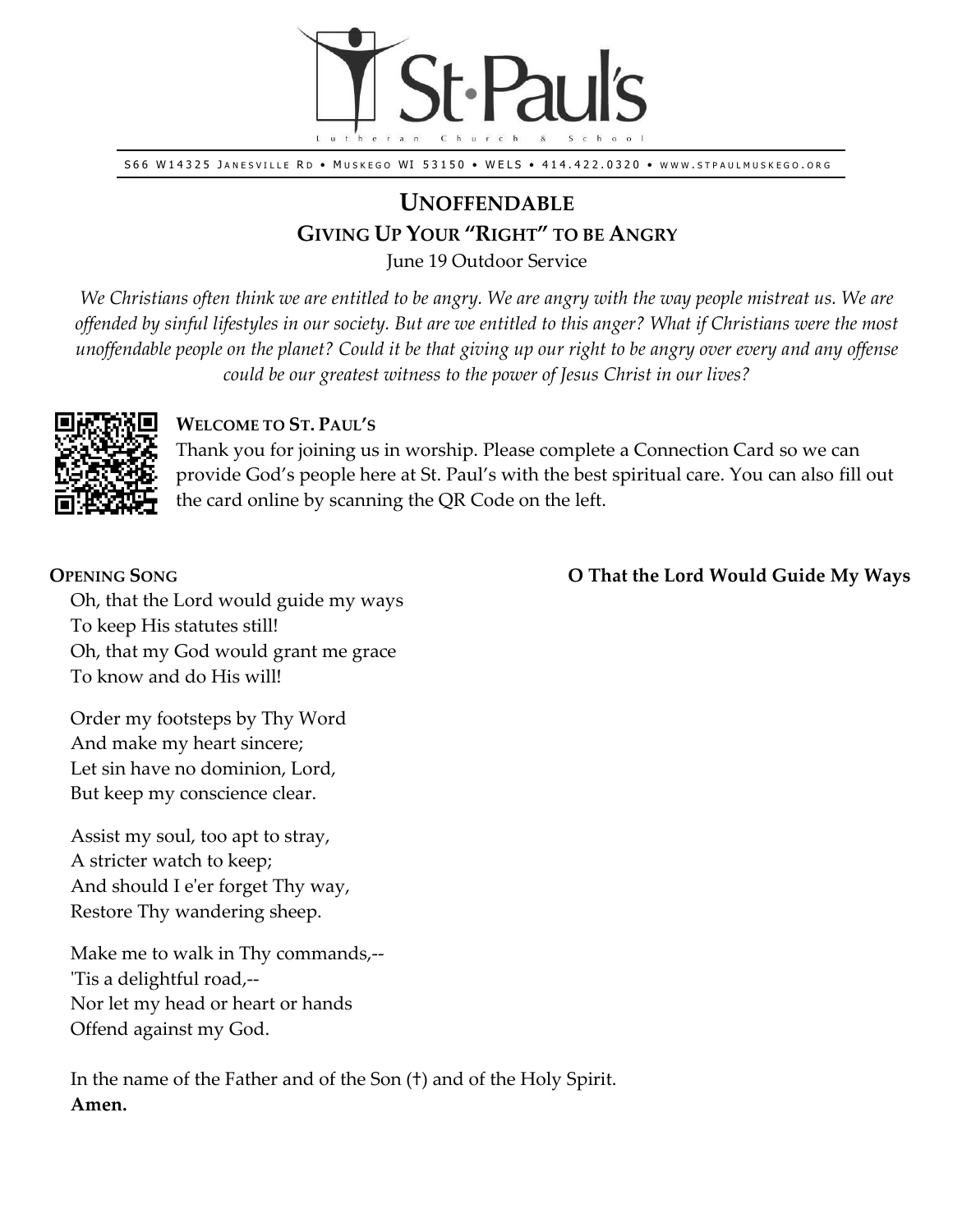

S66 W14325 JANESVILLE RD [.](http://www/) MUSKEGO WI 53150 . WELS . 414.422.0320 . WWW.STPAULMUSKEGO.ORG

# **UNOFFENDABLE GIVING UP YOUR "RIGHT" TO BE ANGRY** June 19 Outdoor Service

*We Christians often think we are entitled to be angry. We are angry with the way people mistreat us. We are offended by sinful lifestyles in our society. But are we entitled to this anger? What if Christians were the most unoffendable people on the planet? Could it be that giving up our right to be angry over every and any offense could be our greatest witness to the power of Jesus Christ in our lives?*



### **WELCOME TO ST. PAUL'S**

Thank you for joining us in worship. Please complete a Connection Card so we can provide God's people here at St. Paul's with the best spiritual care. You can also fill out the card online by scanning the QR Code on the left.

### **OPENING SONG O That the Lord Would Guide My Ways**

Oh, that the Lord would guide my ways To keep His statutes still! Oh, that my God would grant me grace To know and do His will!

Order my footsteps by Thy Word And make my heart sincere; Let sin have no dominion, Lord, But keep my conscience clear.

Assist my soul, too apt to stray, A stricter watch to keep; And should I e'er forget Thy way, Restore Thy wandering sheep.

Make me to walk in Thy commands,-- 'Tis a delightful road,-- Nor let my head or heart or hands Offend against my God.

In the name of the Father and of the Son (†) and of the Holy Spirit. **Amen.**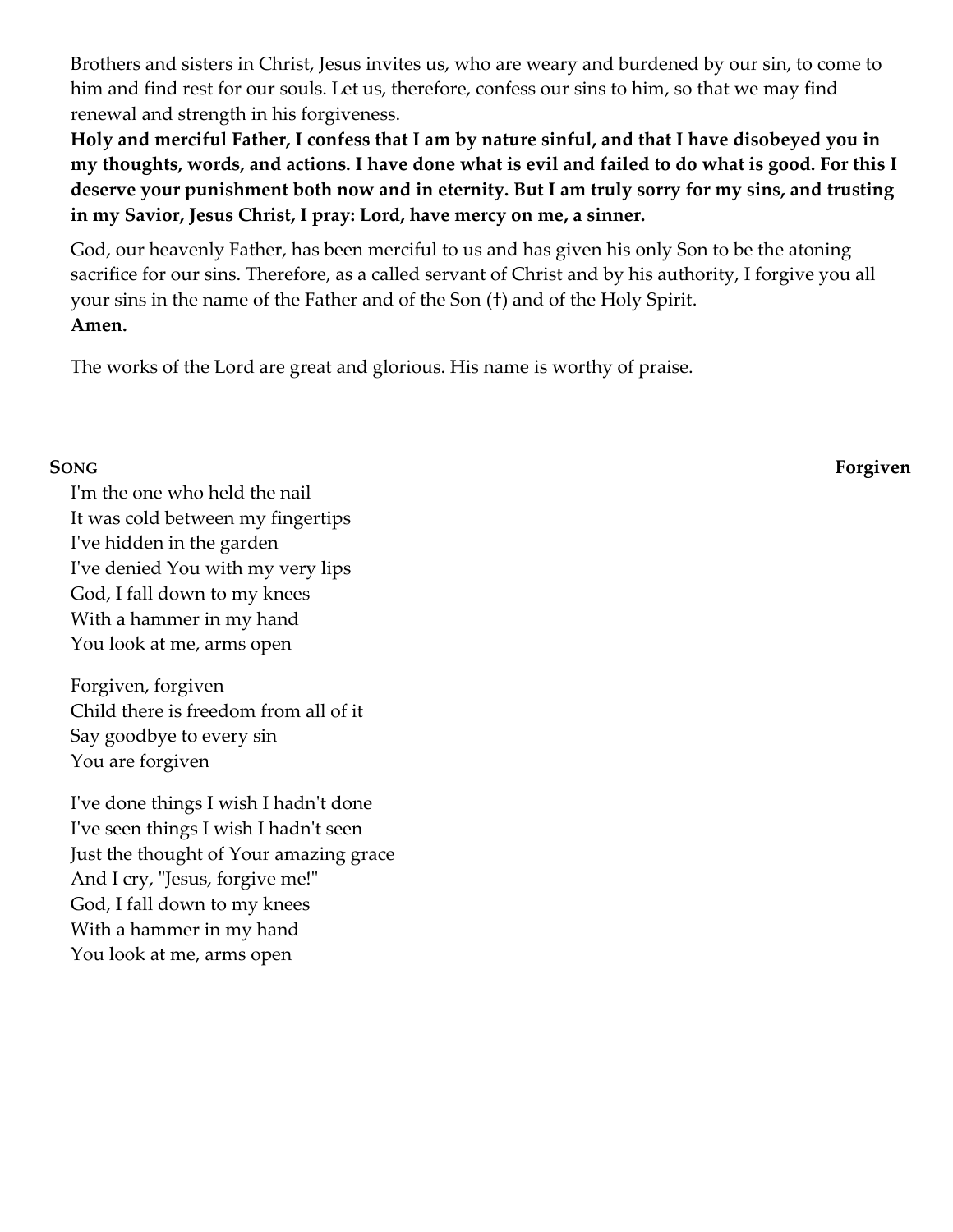Brothers and sisters in Christ, Jesus invites us, who are weary and burdened by our sin, to come to him and find rest for our souls. Let us, therefore, confess our sins to him, so that we may find renewal and strength in his forgiveness.

**Holy and merciful Father, I confess that I am by nature sinful, and that I have disobeyed you in my thoughts, words, and actions. I have done what is evil and failed to do what is good. For this I deserve your punishment both now and in eternity. But I am truly sorry for my sins, and trusting in my Savior, Jesus Christ, I pray: Lord, have mercy on me, a sinner.**

God, our heavenly Father, has been merciful to us and has given his only Son to be the atoning sacrifice for our sins. Therefore, as a called servant of Christ and by his authority, I forgive you all your sins in the name of the Father and of the Son (†) and of the Holy Spirit. **Amen.**

The works of the Lord are great and glorious. His name is worthy of praise.

**SONG Forgiven**

I'm the one who held the nail It was cold between my fingertips I've hidden in the garden I've denied You with my very lips God, I fall down to my knees With a hammer in my hand You look at me, arms open

Forgiven, forgiven Child there is freedom from all of it Say goodbye to every sin You are forgiven

I've done things I wish I hadn't done I've seen things I wish I hadn't seen Just the thought of Your amazing grace And I cry, "Jesus, forgive me!" God, I fall down to my knees With a hammer in my hand You look at me, arms open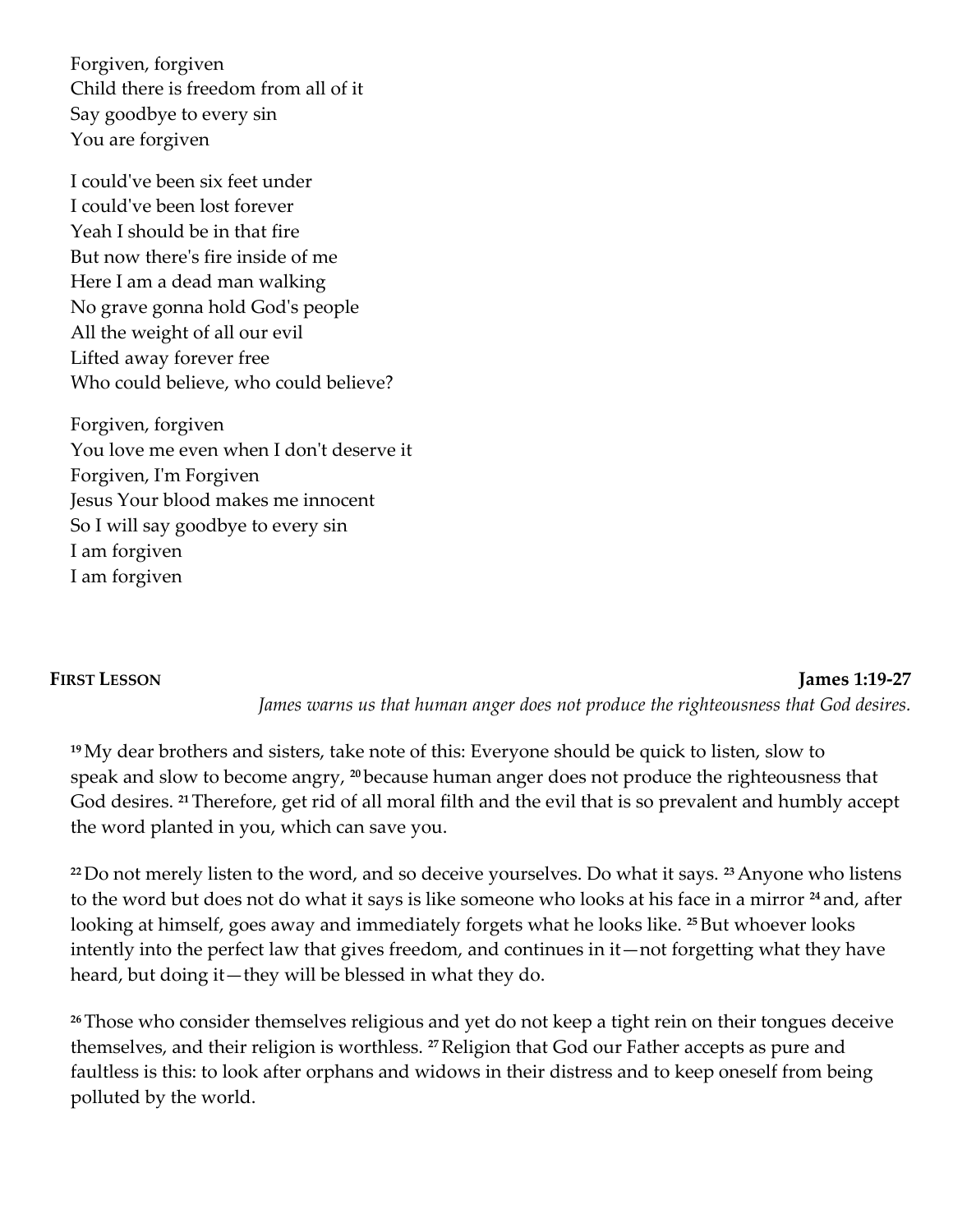Forgiven, forgiven Child there is freedom from all of it Say goodbye to every sin You are forgiven

I could've been six feet under I could've been lost forever Yeah I should be in that fire But now there's fire inside of me Here I am a dead man walking No grave gonna hold God's people All the weight of all our evil Lifted away forever free Who could believe, who could believe?

Forgiven, forgiven You love me even when I don't deserve it Forgiven, I'm Forgiven Jesus Your blood makes me innocent So I will say goodbye to every sin I am forgiven I am forgiven

# **FIRST LESSON James 1:19-27**

# *James warns us that human anger does not produce the righteousness that God desires.*

**<sup>19</sup>**My dear brothers and sisters, take note of this: Everyone should be quick to listen, slow to speak and slow to become angry, **<sup>20</sup>** because human anger does not produce the righteousness that God desires. **<sup>21</sup>**Therefore, get rid of all moral filth and the evil that is so prevalent and humbly accept the word planted in you, which can save you.

**<sup>22</sup>**Do not merely listen to the word, and so deceive yourselves. Do what it says. **<sup>23</sup>**Anyone who listens to the word but does not do what it says is like someone who looks at his face in a mirror **<sup>24</sup>** and, after looking at himself, goes away and immediately forgets what he looks like. **<sup>25</sup>**But whoever looks intently into the perfect law that gives freedom, and continues in it—not forgetting what they have heard, but doing it—they will be blessed in what they do.

**<sup>26</sup>**Those who consider themselves religious and yet do not keep a tight rein on their tongues deceive themselves, and their religion is worthless. **<sup>27</sup>**Religion that God our Father accepts as pure and faultless is this: to look after orphans and widows in their distress and to keep oneself from being polluted by the world.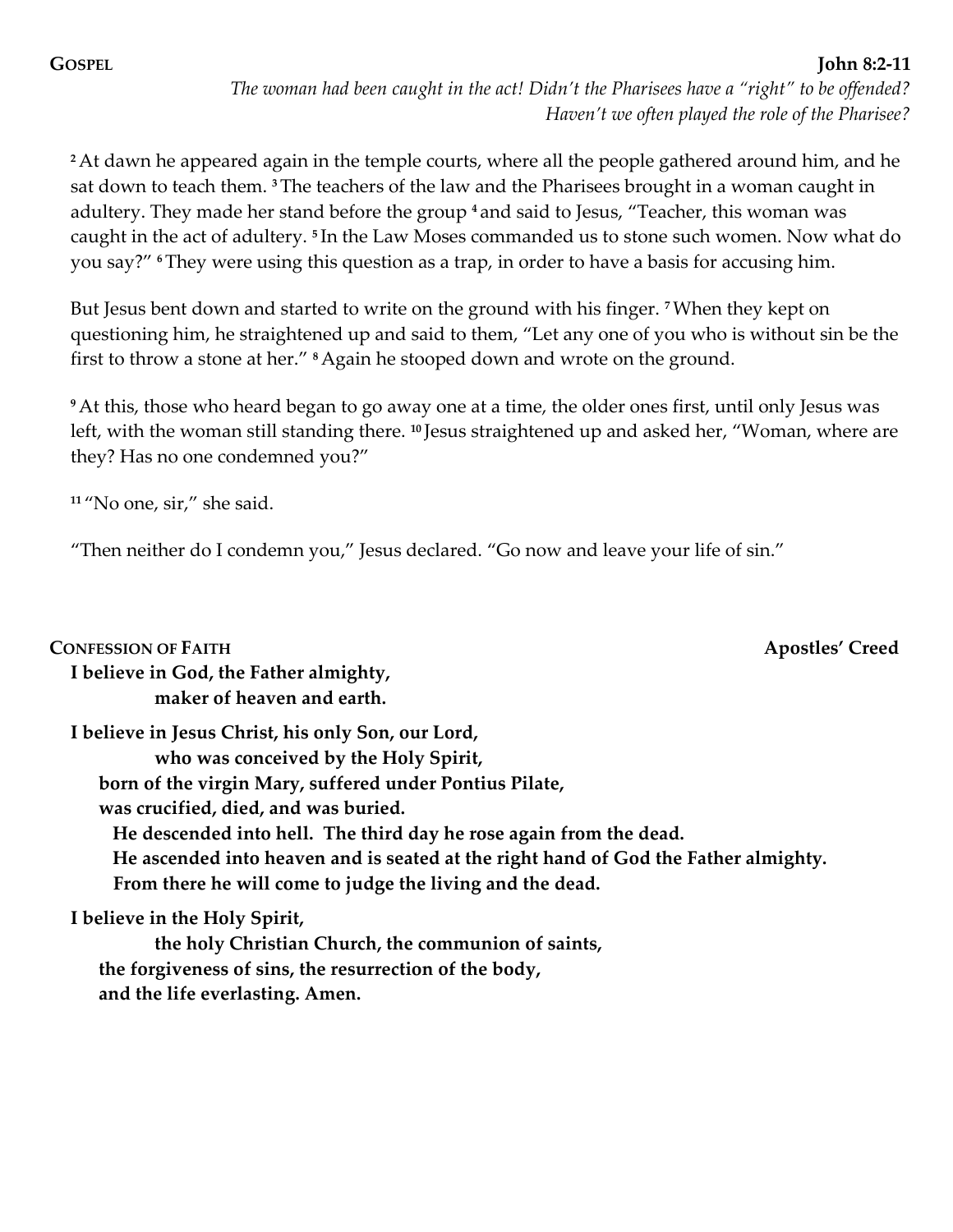# *The woman had been caught in the act! Didn't the Pharisees have a "right" to be offended? Haven't we often played the role of the Pharisee?*

**<sup>2</sup>**At dawn he appeared again in the temple courts, where all the people gathered around him, and he sat down to teach them. **<sup>3</sup>**The teachers of the law and the Pharisees brought in a woman caught in adultery. They made her stand before the group **<sup>4</sup>** and said to Jesus, "Teacher, this woman was caught in the act of adultery. <sup>5</sup> In the Law Moses commanded us to stone such women. Now what do you say?" **<sup>6</sup>**They were using this question as a trap, in order to have a basis for accusing him.

But Jesus bent down and started to write on the ground with his finger. **<sup>7</sup>**When they kept on questioning him, he straightened up and said to them, "Let any one of you who is without sin be the first to throw a stone at her." **<sup>8</sup>**Again he stooped down and wrote on the ground.

**<sup>9</sup>**At this, those who heard began to go away one at a time, the older ones first, until only Jesus was left, with the woman still standing there. **<sup>10</sup>** Jesus straightened up and asked her, "Woman, where are they? Has no one condemned you?"

**<sup>11</sup>** "No one, sir," she said.

"Then neither do I condemn you," Jesus declared. "Go now and leave your life of sin."

| <b>CONFESSION OF FAITH</b>                                                          | <b>Apostles' Creed</b> |
|-------------------------------------------------------------------------------------|------------------------|
| I believe in God, the Father almighty,                                              |                        |
| maker of heaven and earth.                                                          |                        |
| I believe in Jesus Christ, his only Son, our Lord,                                  |                        |
| who was conceived by the Holy Spirit,                                               |                        |
| born of the virgin Mary, suffered under Pontius Pilate,                             |                        |
| was crucified, died, and was buried.                                                |                        |
| He descended into hell. The third day he rose again from the dead.                  |                        |
| He ascended into heaven and is seated at the right hand of God the Father almighty. |                        |
| From there he will come to judge the living and the dead.                           |                        |
| I believe in the Holy Spirit,                                                       |                        |
| the holy Christian Church, the communion of saints,                                 |                        |
|                                                                                     |                        |

**the forgiveness of sins, the resurrection of the body,**

**and the life everlasting. Amen.**

# **GOSPEL John 8:2-11**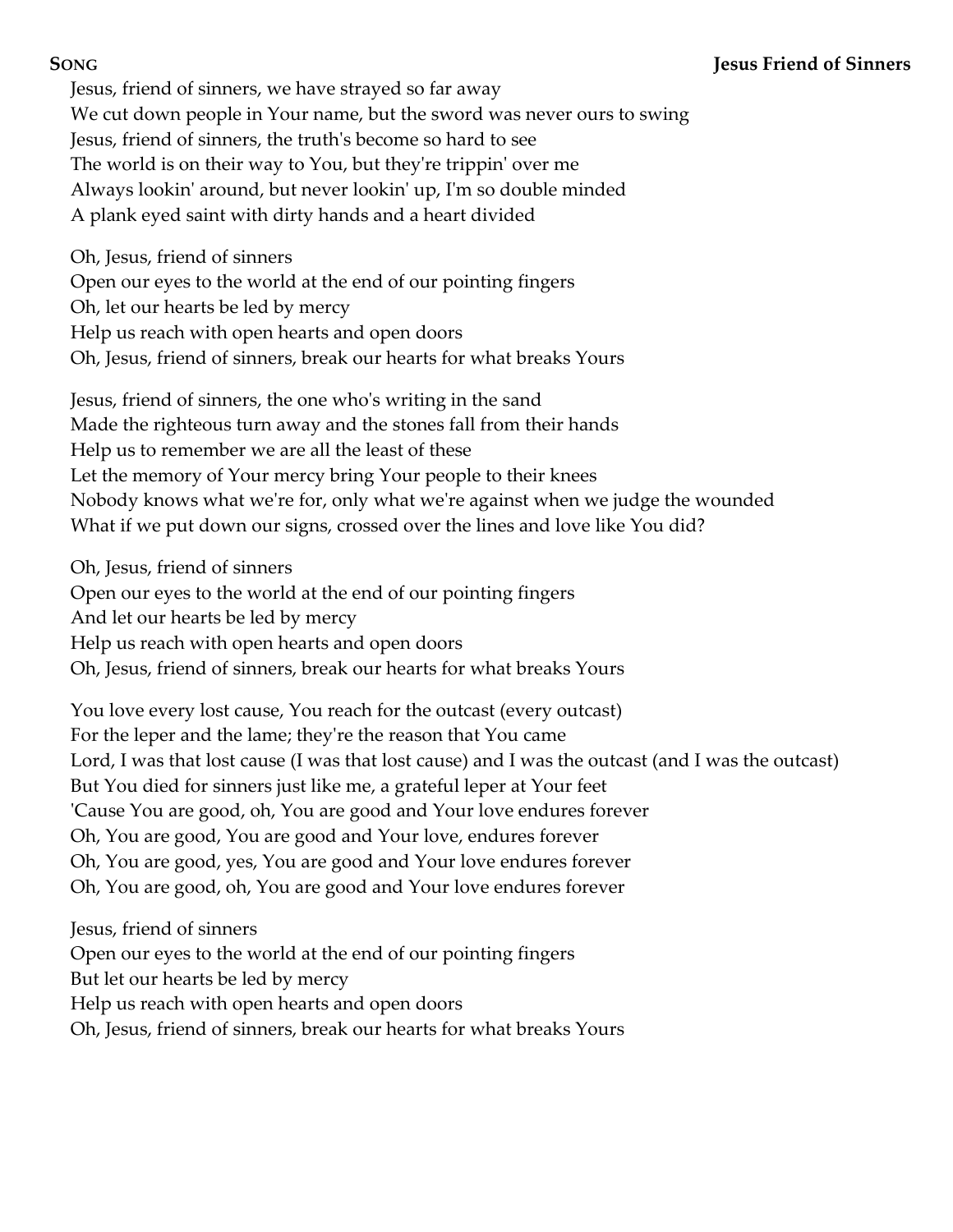# **SONG Jesus Friend of Sinners**

Jesus, friend of sinners, we have strayed so far away We cut down people in Your name, but the sword was never ours to swing Jesus, friend of sinners, the truth's become so hard to see The world is on their way to You, but they're trippin' over me Always lookin' around, but never lookin' up, I'm so double minded A plank eyed saint with dirty hands and a heart divided

Oh, Jesus, friend of sinners Open our eyes to the world at the end of our pointing fingers Oh, let our hearts be led by mercy Help us reach with open hearts and open doors Oh, Jesus, friend of sinners, break our hearts for what breaks Yours

Jesus, friend of sinners, the one who's writing in the sand Made the righteous turn away and the stones fall from their hands Help us to remember we are all the least of these Let the memory of Your mercy bring Your people to their knees Nobody knows what we're for, only what we're against when we judge the wounded What if we put down our signs, crossed over the lines and love like You did?

Oh, Jesus, friend of sinners Open our eyes to the world at the end of our pointing fingers And let our hearts be led by mercy Help us reach with open hearts and open doors Oh, Jesus, friend of sinners, break our hearts for what breaks Yours

You love every lost cause, You reach for the outcast (every outcast) For the leper and the lame; they're the reason that You came Lord, I was that lost cause (I was that lost cause) and I was the outcast (and I was the outcast) But You died for sinners just like me, a grateful leper at Your feet 'Cause You are good, oh, You are good and Your love endures forever Oh, You are good, You are good and Your love, endures forever Oh, You are good, yes, You are good and Your love endures forever Oh, You are good, oh, You are good and Your love endures forever

Jesus, friend of sinners Open our eyes to the world at the end of our pointing fingers But let our hearts be led by mercy Help us reach with open hearts and open doors Oh, Jesus, friend of sinners, break our hearts for what breaks Yours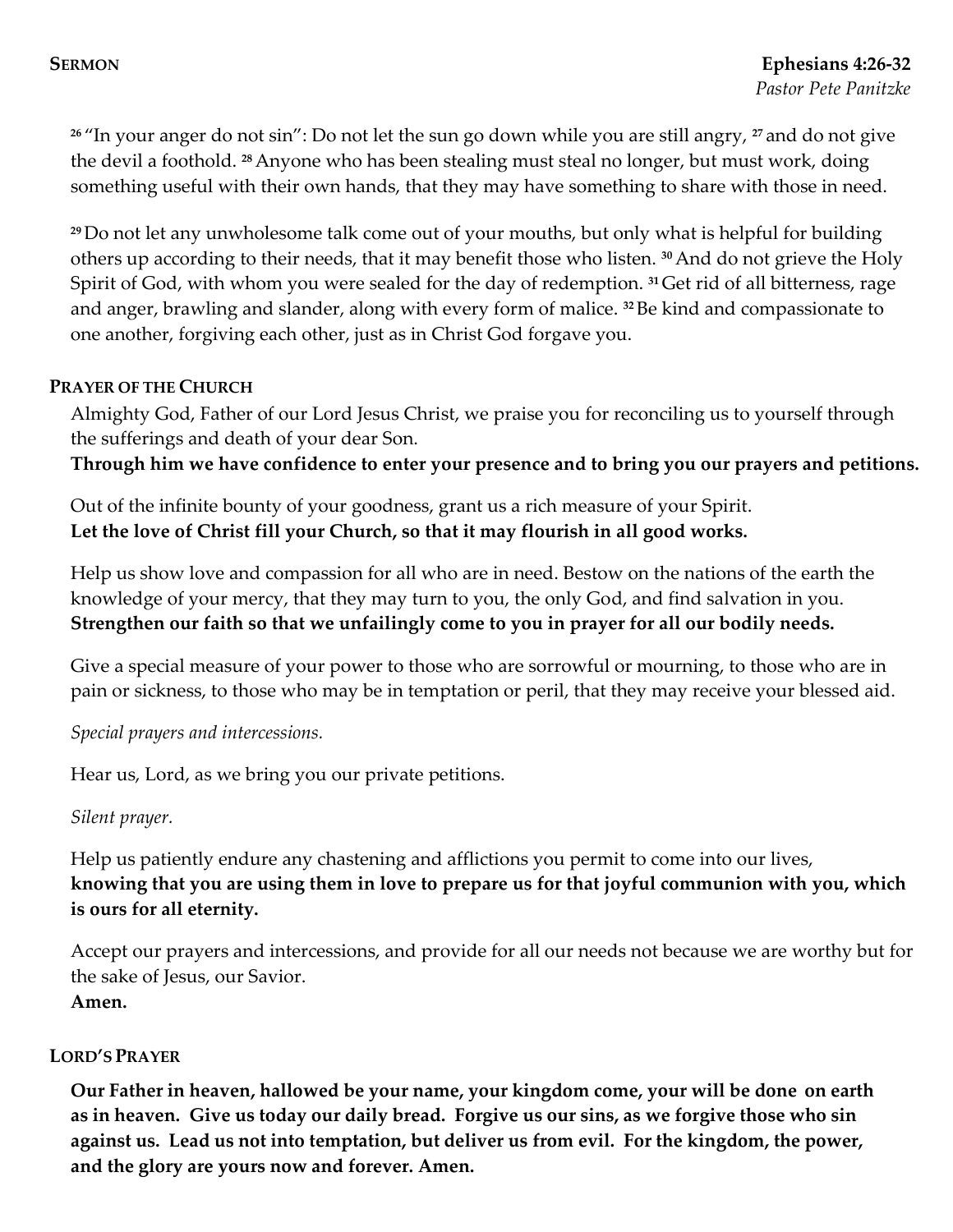**<sup>26</sup>** "In your anger do not sin": Do not let the sun go down while you are still angry, **<sup>27</sup>** and do not give the devil a foothold. **<sup>28</sup>**Anyone who has been stealing must steal no longer, but must work, doing something useful with their own hands, that they may have something to share with those in need.

**<sup>29</sup>**Do not let any unwholesome talk come out of your mouths, but only what is helpful for building others up according to their needs, that it may benefit those who listen. **<sup>30</sup>**And do not grieve the Holy Spirit of God, with whom you were sealed for the day of redemption. **<sup>31</sup>**Get rid of all bitterness, rage and anger, brawling and slander, along with every form of malice. **<sup>32</sup>**Be kind and compassionate to one another, forgiving each other, just as in Christ God forgave you.

# **PRAYER OF THE CHURCH**

Almighty God, Father of our Lord Jesus Christ, we praise you for reconciling us to yourself through the sufferings and death of your dear Son.

**Through him we have confidence to enter your presence and to bring you our prayers and petitions.**

Out of the infinite bounty of your goodness, grant us a rich measure of your Spirit. **Let the love of Christ fill your Church, so that it may flourish in all good works.** 

Help us show love and compassion for all who are in need. Bestow on the nations of the earth the knowledge of your mercy, that they may turn to you, the only God, and find salvation in you. **Strengthen our faith so that we unfailingly come to you in prayer for all our bodily needs.** 

Give a special measure of your power to those who are sorrowful or mourning, to those who are in pain or sickness, to those who may be in temptation or peril, that they may receive your blessed aid.

# *Special prayers and intercessions.*

Hear us, Lord, as we bring you our private petitions.

# *Silent prayer.*

Help us patiently endure any chastening and afflictions you permit to come into our lives, **knowing that you are using them in love to prepare us for that joyful communion with you, which is ours for all eternity.**

Accept our prayers and intercessions, and provide for all our needs not because we are worthy but for the sake of Jesus, our Savior.

**Amen.**

# **LORD'S PRAYER**

**Our Father in heaven, hallowed be your name, your kingdom come, your will be done on earth** as in heaven. Give us today our daily bread. Forgive us our sins, as we forgive those who sin **against us. Lead us not into temptation, but deliver us from evil. For the kingdom, the power, and the glory are yours now and forever. Amen.**